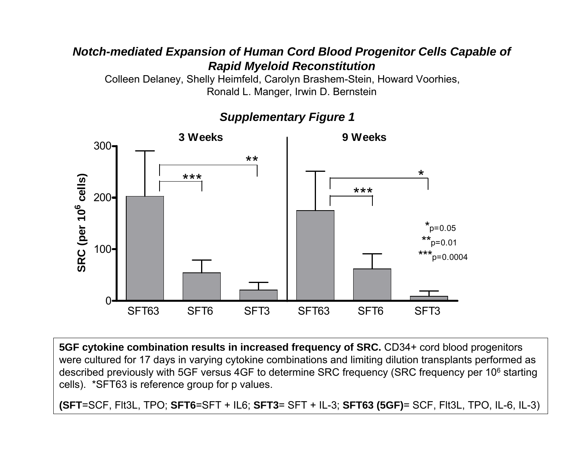### *Notch-mediated Expansion of Human Cord Blood Progenitor Cells Capable of Rapid Myeloid Reconstitution*

Colleen Delaney, Shelly Heimfeld, Carolyn Brashem-Stein, Howard Voorhies, Ronald L. Manger, Irwin D. Bernstein



*Supplementary Figure 1*

**5GF cytokine combination results in increased frequency of SRC.** CD34+ cord blood progenitors were cultured for 17 days in varying cytokine combinations and limiting dilution transplants performed as described previously with 5GF versus 4GF to determine SRC frequency (SRC frequency per 10<sup>6</sup> starting cells). \*SFT63 is reference group for p values.

**(SFT**=SCF, Flt3L, TPO; **SFT6**=SFT + IL6; **SFT3**= SFT + IL-3; **SFT63 (5GF)**= SCF, Flt3L, TPO, IL-6, IL-3)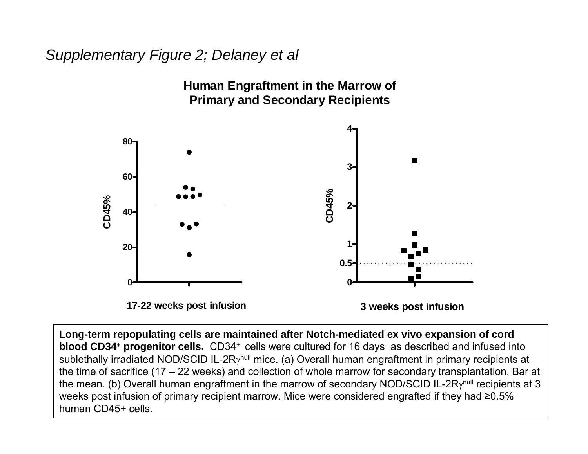# *Supplementary Figure 2; Delaney et al*



**Long-term repopulating cells are maintained after Notch-mediated ex vivo expansion of cord blood CD34+ progenitor cells.** CD34+ cells were cultured for 16 days as described and infused into sublethally irradiated NOD/SCID IL-2Rγ<sup>null</sup> mice. (a) Overall human engraftment in primary recipients at the time of sacrifice (17 – 22 weeks) and collection of whole marrow for secondary transplantation. Bar at the mean. (b) Overall human engraftment in the marrow of secondary NOD/SCID IL-2Rγ<sup>null</sup> recipients at 3 weeks post infusion of primary recipient marrow. Mice were considered engrafted if they had ≥0.5% human CD45+ cells.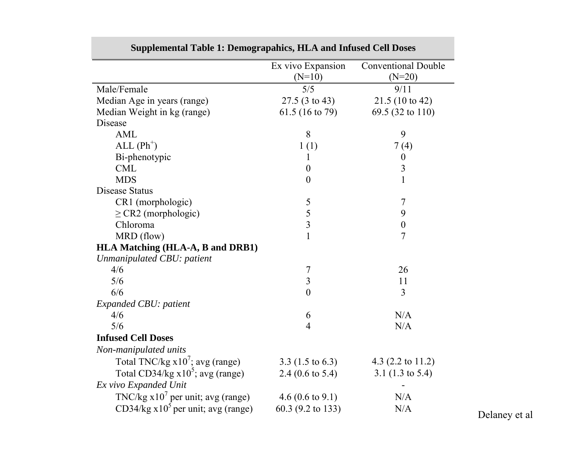|                                         | Ex vivo Expansion<br>$(N=10)$ | <b>Conventional Double</b><br>$(N=20)$ |
|-----------------------------------------|-------------------------------|----------------------------------------|
| Male/Female                             | 5/5                           | 9/11                                   |
|                                         |                               |                                        |
| Median Age in years (range)             | $27.5(3 \text{ to } 43)$      | 21.5(10 to 42)                         |
| Median Weight in kg (range)             | 61.5 (16 to 79)               | 69.5 (32 to 110)                       |
| Disease<br><b>AML</b>                   | 8                             | 9                                      |
|                                         |                               |                                        |
| $ALL (Ph+)$                             | 1(1)                          | 7(4)                                   |
| Bi-phenotypic                           | 1                             | $\boldsymbol{0}$                       |
| <b>CML</b>                              | $\boldsymbol{0}$              | $\overline{3}$                         |
| <b>MDS</b>                              | $\boldsymbol{0}$              | $\mathbf{1}$                           |
| Disease Status                          |                               |                                        |
| CR1 (morphologic)                       | $\mathfrak{S}$                | $\overline{7}$                         |
| $\geq$ CR2 (morphologic)                | $rac{5}{3}$                   | 9                                      |
| Chloroma                                |                               | $\boldsymbol{0}$                       |
| MRD (flow)                              | $\mathbf{1}$                  | $\overline{7}$                         |
| <b>HLA Matching (HLA-A, B and DRB1)</b> |                               |                                        |
| Unmanipulated CBU: patient              |                               |                                        |
| 4/6                                     | $\overline{7}$                | 26                                     |
| 5/6                                     | $\overline{\mathbf{3}}$       | 11                                     |
| 6/6                                     | $\overline{0}$                | 3                                      |
| Expanded CBU: patient                   |                               |                                        |
| 4/6                                     | 6                             | N/A                                    |
| 5/6                                     | $\overline{4}$                | N/A                                    |
| <b>Infused Cell Doses</b>               |                               |                                        |
| Non-manipulated units                   |                               |                                        |
| Total TNC/kg $x10^7$ ; avg (range)      | $3.3(1.5 \text{ to } 6.3)$    | 4.3 $(2.2 \text{ to } 11.2)$           |
| Total CD34/kg $x10^5$ ; avg (range)     | 2.4 $(0.6 \text{ to } 5.4)$   | 3.1 $(1.3 \text{ to } 5.4)$            |
| Ex vivo Expanded Unit                   |                               |                                        |
| TNC/kg $x107$ per unit; avg (range)     | 4.6 $(0.6 \text{ to } 9.1)$   | N/A                                    |
| CD34/kg $x105$ per unit; avg (range)    | 60.3 (9.2 to 133)             | N/A                                    |
|                                         |                               |                                        |

### **Supplemental Table 1: Demograpahics, HLA and Infused Cell Doses**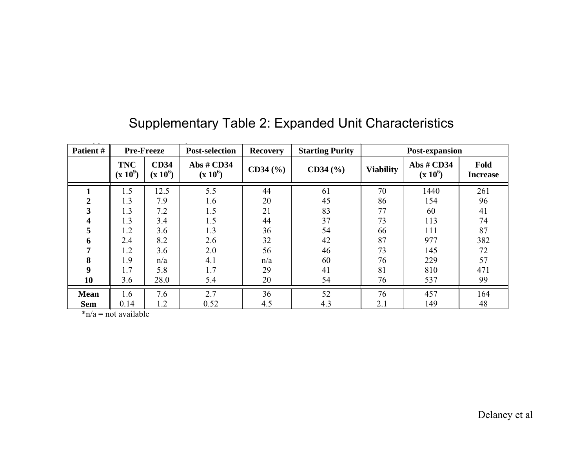| Patient #        |                          | <b>Pre-Freeze</b>         | <b>Post-selection</b>    | <b>Recovery</b> | <b>Starting Purity</b> |                  | Post-expansion           |                         |
|------------------|--------------------------|---------------------------|--------------------------|-----------------|------------------------|------------------|--------------------------|-------------------------|
|                  | <b>TNC</b><br>$(x 10^9)$ | <b>CD34</b><br>$(x 10^6)$ | Abs # CD34<br>$(x 10^6)$ | CD34 (%)        | CD34 (%)               | <b>Viability</b> | Abs # CD34<br>$(x 10^6)$ | Fold<br><b>Increase</b> |
|                  | 1.5                      | 12.5                      | 5.5                      | 44              | 61                     | 70               | 1440                     | 261                     |
| $\boldsymbol{2}$ | 1.3                      | 7.9                       | 1.6                      | 20              | 45                     | 86               | 154                      | 96                      |
| 3                | 1.3                      | 7.2                       | 1.5                      | 21              | 83                     | 77               | 60                       | 41                      |
| 4                | 1.3                      | 3.4                       | 1.5                      | 44              | 37                     | 73               | 113                      | 74                      |
| 5                | 1.2                      | 3.6                       | 1.3                      | 36              | 54                     | 66               | 111                      | 87                      |
| 6                | 2.4                      | 8.2                       | 2.6                      | 32              | 42                     | 87               | 977                      | 382                     |
| 7                | 1.2                      | 3.6                       | 2.0                      | 56              | 46                     | 73               | 145                      | 72                      |
| 8                | 1.9                      | n/a                       | 4.1                      | n/a             | 60                     | 76               | 229                      | 57                      |
| $\boldsymbol{9}$ | 1.7                      | 5.8                       | 1.7                      | 29              | 41                     | 81               | 810                      | 471                     |
| 10               | 3.6                      | 28.0                      | 5.4                      | 20              | 54                     | 76               | 537                      | 99                      |
| <b>Mean</b>      | 1.6                      | 7.6                       | 2.7                      | 36              | 52                     | 76               | 457                      | 164                     |
| <b>Sem</b>       | 0.14                     | 1.2                       | 0.52                     | 4.5             | 4.3                    | 2.1              | 149                      | 48                      |

## Supplementary Table 2: Expanded Unit Characteristics

\*n/a = not available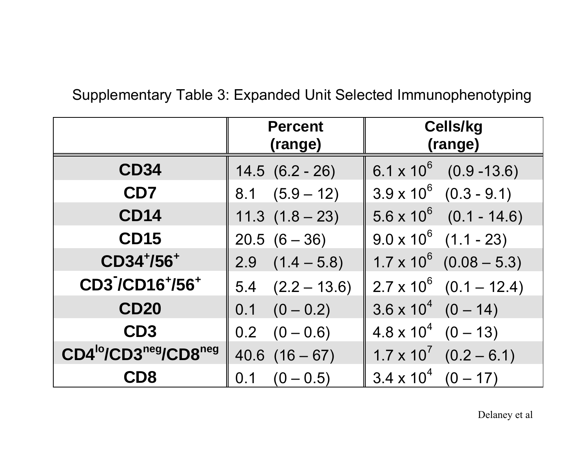# Supplementary Table 3: Expanded Unit Selected Immunophenotyping

|                                                           | <b>Percent</b><br>(range) | <b>Cells/kg</b><br>(range)        |  |  |
|-----------------------------------------------------------|---------------------------|-----------------------------------|--|--|
| <b>CD34</b>                                               | $14.5(6.2 - 26)$          | $6.1 \times 10^6$ (0.9 -13.6)     |  |  |
| CD7                                                       | $8.1 (5.9 - 12)$          | $3.9 \times 10^6$ $(0.3 - 9.1)$   |  |  |
| <b>CD14</b>                                               | $11.3(1.8-23)$            | $5.6 \times 10^6$ (0.1 - 14.6)    |  |  |
| <b>CD15</b>                                               | $20.5(6-36)$              | $9.0 \times 10^6$ (1.1 - 23)      |  |  |
| CD34+/56+                                                 | $(1.4 - 5.8)$<br>2.9      | $1.7 \times 10^6$ (0.08 - 5.3)    |  |  |
| CD37CD16+/56+                                             | $5.4$ $(2.2 - 13.6)$      | $2.7 \times 10^6$ (0.1 – 12.4)    |  |  |
| <b>CD20</b>                                               | $(0 - 0.2)$<br>0.1        | $3.6 \times 10^{4}$ (0 - 14)      |  |  |
| CD <sub>3</sub>                                           | $(0 - 0.6)$<br>0.2        | $4.8 \times 10^{4}$ (0 - 13)      |  |  |
| CD4 <sup>lo</sup> /CD3 <sup>neg</sup> /CD8 <sup>neg</sup> | $(16 - 67)$<br>40.6       | $1.7 \times 10^{7}$ $(0.2 - 6.1)$ |  |  |
| CD8                                                       | $(0 - 0.5)$<br>0.1        | $3.4 \times 10^{4}$<br>$(0 - 17)$ |  |  |